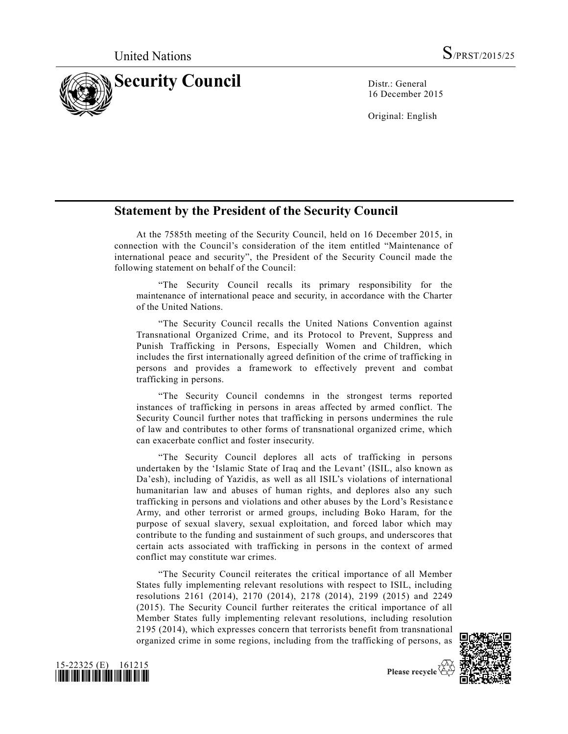

16 December 2015

Original: English

## **Statement by the President of the Security Council**

At the 7585th meeting of the Security Council, held on 16 December 2015, in connection with the Council's consideration of the item entitled "Maintenance of international peace and security", the President of the Security Council made the following statement on behalf of the Council:

"The Security Council recalls its primary responsibility for the maintenance of international peace and security, in accordance with the Charter of the United Nations.

"The Security Council recalls the United Nations Convention against Transnational Organized Crime, and its Protocol to Prevent, Suppress and Punish Trafficking in Persons, Especially Women and Children, which includes the first internationally agreed definition of the crime of trafficking in persons and provides a framework to effectively prevent and combat trafficking in persons.

"The Security Council condemns in the strongest terms reported instances of trafficking in persons in areas affected by armed conflict. The Security Council further notes that trafficking in persons undermines the rule of law and contributes to other forms of transnational organized crime, which can exacerbate conflict and foster insecurity.

"The Security Council deplores all acts of trafficking in persons undertaken by the 'Islamic State of Iraq and the Levant' (ISIL, also known as Da'esh), including of Yazidis, as well as all ISIL's violations of international humanitarian law and abuses of human rights, and deplores also any such trafficking in persons and violations and other abuses by the Lord's Resistanc e Army, and other terrorist or armed groups, including Boko Haram, for the purpose of sexual slavery, sexual exploitation, and forced labor which may contribute to the funding and sustainment of such groups, and underscores that certain acts associated with trafficking in persons in the context of armed conflict may constitute war crimes.

"The Security Council reiterates the critical importance of all Member States fully implementing relevant resolutions with respect to ISIL, including resolutions 2161 (2014), 2170 (2014), 2178 (2014), 2199 (2015) and 2249 (2015). The Security Council further reiterates the critical importance of all Member States fully implementing relevant resolutions, including resolution 2195 (2014), which expresses concern that terrorists benefit from transnational organized crime in some regions, including from the trafficking of persons, as



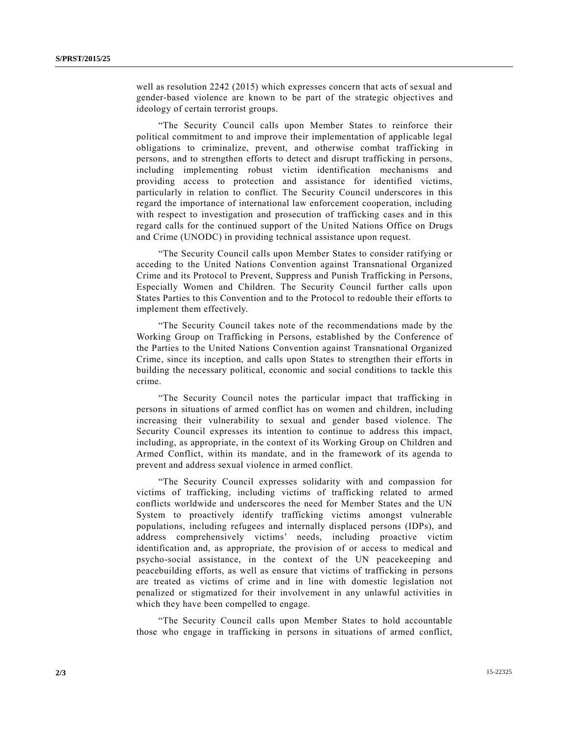well as resolution 2242 (2015) which expresses concern that acts of sexual and gender-based violence are known to be part of the strategic objectives and ideology of certain terrorist groups.

"The Security Council calls upon Member States to reinforce their political commitment to and improve their implementation of applicable legal obligations to criminalize, prevent, and otherwise combat trafficking in persons, and to strengthen efforts to detect and disrupt trafficking in persons, including implementing robust victim identification mechanisms and providing access to protection and assistance for identified victims, particularly in relation to conflict. The Security Council underscores in this regard the importance of international law enforcement cooperation, including with respect to investigation and prosecution of trafficking cases and in this regard calls for the continued support of the United Nations Office on Drugs and Crime (UNODC) in providing technical assistance upon request.

"The Security Council calls upon Member States to consider ratifying or acceding to the United Nations Convention against Transnational Organized Crime and its Protocol to Prevent, Suppress and Punish Trafficking in Persons, Especially Women and Children. The Security Council further calls upon States Parties to this Convention and to the Protocol to redouble their efforts to implement them effectively.

"The Security Council takes note of the recommendations made by the Working Group on Trafficking in Persons, established by the Conference of the Parties to the United Nations Convention against Transnational Organized Crime, since its inception, and calls upon States to strengthen their efforts in building the necessary political, economic and social conditions to tackle this crime.

"The Security Council notes the particular impact that trafficking in persons in situations of armed conflict has on women and children, including increasing their vulnerability to sexual and gender based violence. The Security Council expresses its intention to continue to address this impact, including, as appropriate, in the context of its Working Group on Children and Armed Conflict, within its mandate, and in the framework of its agenda to prevent and address sexual violence in armed conflict.

"The Security Council expresses solidarity with and compassion for victims of trafficking, including victims of trafficking related to armed conflicts worldwide and underscores the need for Member States and the UN System to proactively identify trafficking victims amongst vulnerable populations, including refugees and internally displaced persons (IDPs), and address comprehensively victims' needs, including proactive victim identification and, as appropriate, the provision of or access to medical and psycho-social assistance, in the context of the UN peacekeeping and peacebuilding efforts, as well as ensure that victims of trafficking in persons are treated as victims of crime and in line with domestic legislation not penalized or stigmatized for their involvement in any unlawful activities in which they have been compelled to engage.

"The Security Council calls upon Member States to hold accountable those who engage in trafficking in persons in situations of armed conflict,